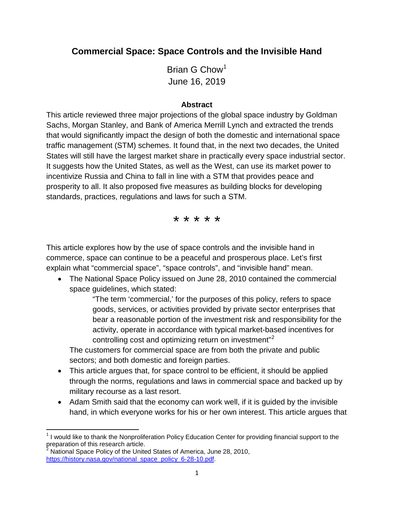# **Commercial Space: Space Controls and the Invisible Hand**

Brian G  $Chow<sup>1</sup>$  $Chow<sup>1</sup>$  $Chow<sup>1</sup>$ June 16, 2019

#### **Abstract**

This article reviewed three major projections of the global space industry by Goldman Sachs, Morgan Stanley, and Bank of America Merrill Lynch and extracted the trends that would significantly impact the design of both the domestic and international space traffic management (STM) schemes. It found that, in the next two decades, the United States will still have the largest market share in practically every space industrial sector. It suggests how the United States, as well as the West, can use its market power to incentivize Russia and China to fall in line with a STM that provides peace and prosperity to all. It also proposed five measures as building blocks for developing standards, practices, regulations and laws for such a STM.

\* \* \* \* \*

This article explores how by the use of space controls and the invisible hand in commerce, space can continue to be a peaceful and prosperous place. Let's first explain what "commercial space", "space controls", and "invisible hand" mean.

• The National Space Policy issued on June 28, 2010 contained the commercial space guidelines, which stated:

> "The term 'commercial,' for the purposes of this policy, refers to space goods, services, or activities provided by private sector enterprises that bear a reasonable portion of the investment risk and responsibility for the activity, operate in accordance with typical market-based incentives for controlling cost and optimizing return on investment"<sup>[2](#page-0-1)</sup>

The customers for commercial space are from both the private and public sectors; and both domestic and foreign parties.

- This article argues that, for space control to be efficient, it should be applied through the norms, regulations and laws in commercial space and backed up by military recourse as a last resort.
- Adam Smith said that the economy can work well, if it is guided by the invisible hand, in which everyone works for his or her own interest. This article argues that

<span id="page-0-0"></span><sup>1</sup> I would like to thank the Nonproliferation Policy Education Center for providing financial support to the preparation of this research article.

<span id="page-0-1"></span><sup>2</sup> National Space Policy of the United States of America, June 28, 2010, [https://history.nasa.gov/national\\_space\\_policy\\_6-28-10.pdf.](https://history.nasa.gov/national_space_policy_6-28-10.pdf)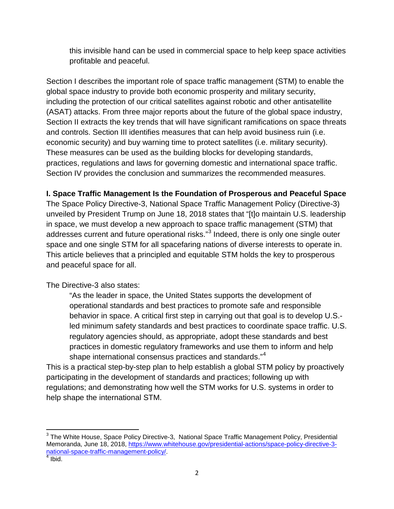this invisible hand can be used in commercial space to help keep space activities profitable and peaceful.

Section I describes the important role of space traffic management (STM) to enable the global space industry to provide both economic prosperity and military security, including the protection of our critical satellites against robotic and other antisatellite (ASAT) attacks. From three major reports about the future of the global space industry, Section II extracts the key trends that will have significant ramifications on space threats and controls. Section III identifies measures that can help avoid business ruin (i.e. economic security) and buy warning time to protect satellites (i.e. military security). These measures can be used as the building blocks for developing standards, practices, regulations and laws for governing domestic and international space traffic. Section IV provides the conclusion and summarizes the recommended measures.

#### **I. Space Traffic Management Is the Foundation of Prosperous and Peaceful Space**

The Space Policy Directive-3, National Space Traffic Management Policy (Directive-3) unveiled by President Trump on June 18, 2018 states that "[t]o maintain U.S. leadership in space, we must develop a new approach to space traffic management (STM) that addresses current and future operational risks."<sup>[3](#page-1-0)</sup> Indeed, there is only one single outer space and one single STM for all spacefaring nations of diverse interests to operate in. This article believes that a principled and equitable STM holds the key to prosperous and peaceful space for all.

The Directive-3 also states:

"As the leader in space, the United States supports the development of operational standards and best practices to promote safe and responsible behavior in space. A critical first step in carrying out that goal is to develop U.S. led minimum safety standards and best practices to coordinate space traffic. U.S. regulatory agencies should, as appropriate, adopt these standards and best practices in domestic regulatory frameworks and use them to inform and help shape international consensus practices and standards."<sup>[4](#page-1-1)</sup>

This is a practical step-by-step plan to help establish a global STM policy by proactively participating in the development of standards and practices; following up with regulations; and demonstrating how well the STM works for U.S. systems in order to help shape the international STM.

<span id="page-1-0"></span><sup>&</sup>lt;sup>3</sup> The White House, Space Policy Directive-3, National Space Traffic Management Policy, Presidential Memoranda, June 18, 2018, [https://www.whitehouse.gov/presidential-actions/space-policy-directive-3](https://www.whitehouse.gov/presidential-actions/space-policy-directive-3-national-space-traffic-management-policy/) [national-space-traffic-management-policy/.](https://www.whitehouse.gov/presidential-actions/space-policy-directive-3-national-space-traffic-management-policy/)<br>4 Ibid.

<span id="page-1-1"></span>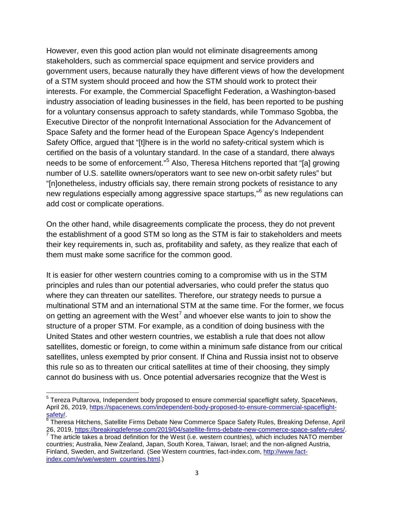However, even this good action plan would not eliminate disagreements among stakeholders, such as commercial space equipment and service providers and government users, because naturally they have different views of how the development of a STM system should proceed and how the STM should work to protect their interests. For example, the Commercial Spaceflight Federation, a Washington-based industry association of leading businesses in the field, has been reported to be pushing for a voluntary consensus approach to safety standards, while Tommaso Sgobba, the Executive Director of the nonprofit International Association for the Advancement of Space Safety and the former head of the European Space Agency's Independent Safety Office, argued that "[t]here is in the world no safety-critical system which is certified on the basis of a voluntary standard. In the case of a standard, there always needs to be some of enforcement."<sup>[5](#page-2-0)</sup> Also, Theresa Hitchens reported that "[a] growing number of U.S. satellite owners/operators want to see new on-orbit safety rules" but "[n]onetheless, industry officials say, there remain strong pockets of resistance to any new regulations especially among aggressive space startups,<sup>"[6](#page-2-1)</sup> as new regulations can add cost or complicate operations.

On the other hand, while disagreements complicate the process, they do not prevent the establishment of a good STM so long as the STM is fair to stakeholders and meets their key requirements in, such as, profitability and safety, as they realize that each of them must make some sacrifice for the common good.

It is easier for other western countries coming to a compromise with us in the STM principles and rules than our potential adversaries, who could prefer the status quo where they can threaten our satellites. Therefore, our strategy needs to pursue a multinational STM and an international STM at the same time. For the former, we focus on getting an agreement with the West<sup>[7](#page-2-2)</sup> and whoever else wants to join to show the structure of a proper STM. For example, as a condition of doing business with the United States and other western countries, we establish a rule that does not allow satellites, domestic or foreign, to come within a minimum safe distance from our critical satellites, unless exempted by prior consent. If China and Russia insist not to observe this rule so as to threaten our critical satellites at time of their choosing, they simply cannot do business with us. Once potential adversaries recognize that the West is

<span id="page-2-0"></span><sup>&</sup>lt;sup>5</sup> Tereza Pultarova, Independent body proposed to ensure commercial spaceflight safety, SpaceNews, April 26, 2019, [https://spacenews.com/independent-body-proposed-to-ensure-commercial-spaceflight-](https://spacenews.com/independent-body-proposed-to-ensure-commercial-spaceflight-safety/)

<span id="page-2-1"></span>[safety/.](https://spacenews.com/independent-body-proposed-to-ensure-commercial-spaceflight-safety/)<br><sup>[6](https://spacenews.com/independent-body-proposed-to-ensure-commercial-spaceflight-safety/)</sup> Theresa Hitchens, Satellite Firms Debate New Commerce Space Safety Rules, Breaking Defense, April<br>26, 2019, https://breakingdefense.com/2019/04/satellite-firms-debate-new-commerce-space-safety-rules/.

<span id="page-2-2"></span><sup>26, 2019,</sup> *https://breakingdefense.com/2019/04/satellite-firms-defense.com/2019/04/satellite-safety-rules/. 7* The article takes a broad definition for the West (i.e. western countries), which includes NATO member countries; Australia, New Zealand, Japan, South Korea, Taiwan, Israel; and the non-aligned Austria, Finland, Sweden, and Switzerland. (See Western countries, fact-index.com, [http://www.fact](http://www.fact-index.com/w/we/western_countries.html)[index.com/w/we/western\\_countries.html.](http://www.fact-index.com/w/we/western_countries.html))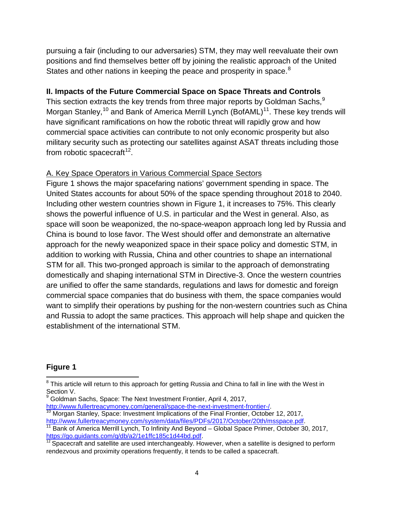pursuing a fair (including to our adversaries) STM, they may well reevaluate their own positions and find themselves better off by joining the realistic approach of the United States and other nations in keeping the peace and prosperity in space.<sup>[8](#page-3-0)</sup>

### **II. Impacts of the Future Commercial Space on Space Threats and Controls**

This section extracts the key trends from three major reports by Goldman Sachs, $^9$  $^9$ Morgan Stanley,<sup>[10](#page-3-2)</sup> and Bank of America Merrill Lynch (BofAML)<sup>[11](#page-3-3)</sup>. These key trends will have significant ramifications on how the robotic threat will rapidly grow and how commercial space activities can contribute to not only economic prosperity but also military security such as protecting our satellites against ASAT threats including those from robotic spacecraft<sup>[12](#page-3-4)</sup>.

#### A. Key Space Operators in Various Commercial Space Sectors

Figure 1 shows the major spacefaring nations' government spending in space. The United States accounts for about 50% of the space spending throughout 2018 to 2040. Including other western countries shown in Figure 1, it increases to 75%. This clearly shows the powerful influence of U.S. in particular and the West in general. Also, as space will soon be weaponized, the no-space-weapon approach long led by Russia and China is bound to lose favor. The West should offer and demonstrate an alternative approach for the newly weaponized space in their space policy and domestic STM, in addition to working with Russia, China and other countries to shape an international STM for all. This two-pronged approach is similar to the approach of demonstrating domestically and shaping international STM in Directive-3. Once the western countries are unified to offer the same standards, regulations and laws for domestic and foreign commercial space companies that do business with them, the space companies would want to simplify their operations by pushing for the non-western countries such as China and Russia to adopt the same practices. This approach will help shape and quicken the establishment of the international STM.

#### **Figure 1**

<span id="page-3-0"></span><sup>&</sup>lt;sup>8</sup> This article will return to this approach for getting Russia and China to fall in line with the West in Section V.

<span id="page-3-1"></span><sup>&</sup>lt;sup>9</sup> Goldman Sachs, Space: The Next Investment Frontier, April 4, 2017,<br>http://www.fullertreacymoney.com/general/space-the-next-investment-frontier-/.

<span id="page-3-2"></span><sup>&</sup>lt;sup>[10](http://www.fullertreacymoney.com/general/space-the-next-investment-frontier-/)</sup> Morgan Stanley, Space: Investment Implications of the Final Frontier, October 12, 2017,<br>http://www.fullertreacymoney.com/system/data/files/PDFs/2017/October/20th/msspace.pdf.

<span id="page-3-3"></span><sup>&</sup>lt;sup>[11](http://www.fullertreacymoney.com/system/data/files/PDFs/2017/October/20th/msspace.pdf)</sup> Bank of America Merrill Lynch, To Infinity And Beyond – Global Space Primer, October 30, 2017, https://go.guidants.com/q/db/a2/1e1ffc185c1d44bd.pdf.

<span id="page-3-4"></span>https://go.guidants.com/db/a2/12/1e1ftc12/1e1ftc1235c1d442bd.pdf? Spacecraft and satellite are used interchangeably. However, when a satellite is designed to perform rendezvous and proximity operations frequently, it tends to be called a spacecraft.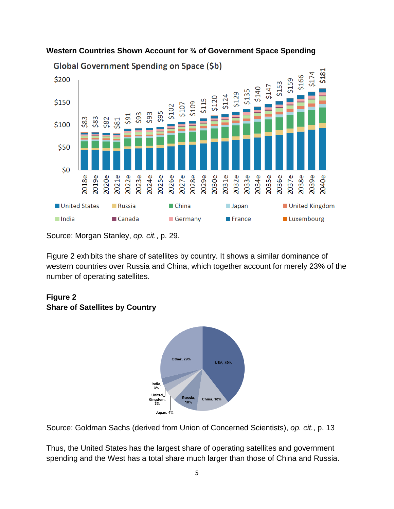

#### **Western Countries Shown Account for ¾ of Government Space Spending**

Source: Morgan Stanley, *op. cit.*, p. 29.

Figure 2 exhibits the share of satellites by country. It shows a similar dominance of western countries over Russia and China, which together account for merely 23% of the number of operating satellites.

## **Figure 2 Share of Satellites by Country**



Source: Goldman Sachs (derived from Union of Concerned Scientists), *op. cit.*, p. 13

Thus, the United States has the largest share of operating satellites and government spending and the West has a total share much larger than those of China and Russia.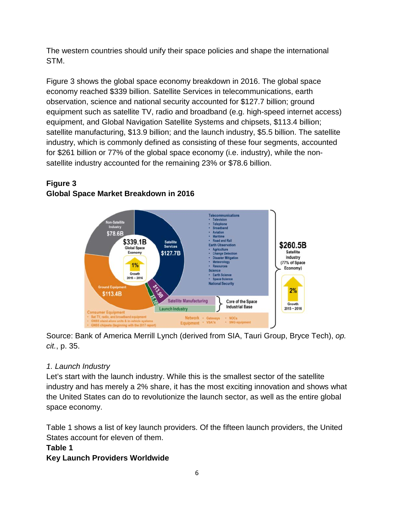The western countries should unify their space policies and shape the international STM.

Figure 3 shows the global space economy breakdown in 2016. The global space economy reached \$339 billion. Satellite Services in telecommunications, earth observation, science and national security accounted for \$127.7 billion; ground equipment such as satellite TV, radio and broadband (e.g. high-speed internet access) equipment, and Global Navigation Satellite Systems and chipsets, \$113.4 billion; satellite manufacturing, \$13.9 billion; and the launch industry, \$5.5 billion. The satellite industry, which is commonly defined as consisting of these four segments, accounted for \$261 billion or 77% of the global space economy (i.e. industry), while the nonsatellite industry accounted for the remaining 23% or \$78.6 billion.

# **Figure 3 Global Space Market Breakdown in 2016**



Source: Bank of America Merrill Lynch (derived from SIA, Tauri Group, Bryce Tech), *op. cit.*, p. 35.

# *1. Launch Industry*

Let's start with the launch industry. While this is the smallest sector of the satellite industry and has merely a 2% share, it has the most exciting innovation and shows what the United States can do to revolutionize the launch sector, as well as the entire global space economy.

Table 1 shows a list of key launch providers. Of the fifteen launch providers, the United States account for eleven of them.

# **Table 1**

# **Key Launch Providers Worldwide**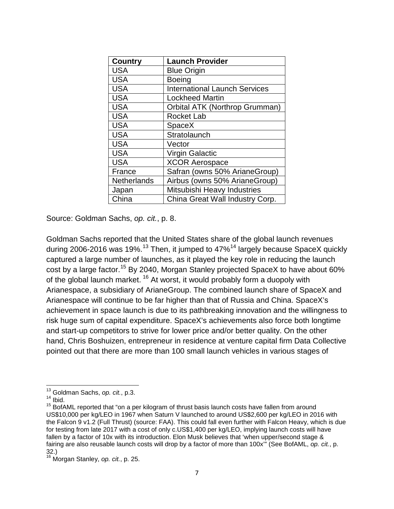| <b>Country</b>     | <b>Launch Provider</b>               |
|--------------------|--------------------------------------|
| <b>USA</b>         | <b>Blue Origin</b>                   |
| <b>USA</b>         | <b>Boeing</b>                        |
| <b>USA</b>         | <b>International Launch Services</b> |
| <b>USA</b>         | <b>Lockheed Martin</b>               |
| <b>USA</b>         | Orbital ATK (Northrop Grumman)       |
| <b>USA</b>         | <b>Rocket Lab</b>                    |
| <b>USA</b>         | <b>SpaceX</b>                        |
| <b>USA</b>         | Stratolaunch                         |
| <b>USA</b>         | Vector                               |
| <b>USA</b>         | <b>Virgin Galactic</b>               |
| <b>USA</b>         | <b>XCOR Aerospace</b>                |
| France             | Safran (owns 50% ArianeGroup)        |
| <b>Netherlands</b> | Airbus (owns 50% ArianeGroup)        |
| Japan              | Mitsubishi Heavy Industries          |
| China              | China Great Wall Industry Corp.      |

Source: Goldman Sachs, *op. cit.*, p. 8.

Goldman Sachs reported that the United States share of the global launch revenues during 2006-2016 was 19%.<sup>[13](#page-6-0)</sup> Then, it jumped to  $47\%$ <sup>[14](#page-6-1)</sup> largely because SpaceX quickly captured a large number of launches, as it played the key role in reducing the launch cost by a large factor.<sup>[15](#page-6-2)</sup> By 2040, Morgan Stanley projected SpaceX to have about 60% of the global launch market.<sup>[16](#page-6-3)</sup> At worst, it would probably form a duopoly with Arianespace, a subsidiary of ArianeGroup. The combined launch share of SpaceX and Arianespace will continue to be far higher than that of Russia and China. SpaceX's achievement in space launch is due to its pathbreaking innovation and the willingness to risk huge sum of capital expenditure. SpaceX's achievements also force both longtime and start-up competitors to strive for lower price and/or better quality. On the other hand, Chris Boshuizen, entrepreneur in residence at venture capital firm Data Collective pointed out that there are more than 100 small launch vehicles in various stages of

<span id="page-6-0"></span><sup>&</sup>lt;sup>13</sup> Goldman Sachs, *op. cit.*, p.3.<br><sup>14</sup> Ibid.

<span id="page-6-2"></span><span id="page-6-1"></span> $15$  BofAML reported that "on a per kilogram of thrust basis launch costs have fallen from around US\$10,000 per kg/LEO in 1967 when Saturn V launched to around US\$2,600 per kg/LEO in 2016 with the Falcon 9 v1.2 (Full Thrust) (source: FAA). This could fall even further with Falcon Heavy, which is due for testing from late 2017 with a cost of only c.US\$1,400 per kg/LEO, implying launch costs will have fallen by a factor of 10x with its introduction. Elon Musk believes that 'when upper/second stage & fairing are also reusable launch costs will drop by a factor of more than 100x'" (See BofAML, *op. cit.*, p. 32.) <sup>16</sup> Morgan Stanley, *op. cit.*, p. 25.

<span id="page-6-3"></span>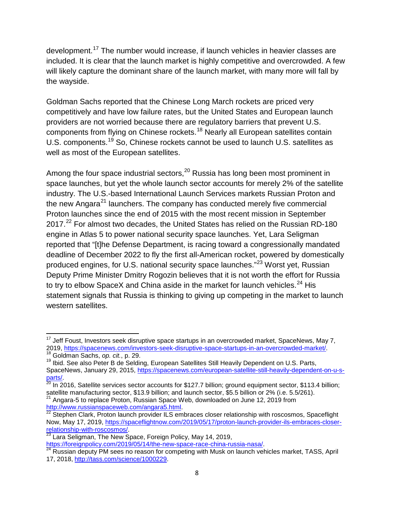development.<sup>[17](#page-7-0)</sup> The number would increase, if launch vehicles in heavier classes are included. It is clear that the launch market is highly competitive and overcrowded. A few will likely capture the dominant share of the launch market, with many more will fall by the wayside.

Goldman Sachs reported that the Chinese Long March rockets are priced very competitively and have low failure rates, but the United States and European launch providers are not worried because there are regulatory barriers that prevent U.S. components from flying on Chinese rockets.<sup>[18](#page-7-1)</sup> Nearly all European satellites contain U.S. components.[19](#page-7-2) So, Chinese rockets cannot be used to launch U.S. satellites as well as most of the European satellites.

Among the four space industrial sectors,  $20$  Russia has long been most prominent in space launches, but yet the whole launch sector accounts for merely 2% of the satellite industry. The U.S.-based International Launch Services markets Russian Proton and the new Angara<sup>[21](#page-7-4)</sup> launchers. The company has conducted merely five commercial Proton launches since the end of 2015 with the most recent mission in September 2017.<sup>[22](#page-7-5)</sup> For almost two decades, the United States has relied on the Russian RD-180 engine in Atlas 5 to power national security space launches. Yet, Lara Seligman reported that "[t]he Defense Department, is racing toward a congressionally mandated deadline of December 2022 to fly the first all-American rocket, powered by domestically produced engines, for U.S. national security space launches."[23](#page-7-6) Worst yet, Russian Deputy Prime Minister Dmitry Rogozin believes that it is not worth the effort for Russia to try to elbow SpaceX and China aside in the market for launch vehicles. $^{24}$  $^{24}$  $^{24}$  His statement signals that Russia is thinking to giving up competing in the market to launch western satellites.

<span id="page-7-0"></span> $17$  Jeff Foust, Investors seek disruptive space startups in an overcrowded market, SpaceNews, May 7, 2019, [https://spacenews.com/investors-seek-disruptive-space-startups-in-an-overcrowded-market/.](https://spacenews.com/investors-seek-disruptive-space-startups-in-an-overcrowded-market/)<br><sup>18</sup> Goldman Sachs, op. cit., p. 29.<br><sup>19</sup> Ibid. See also Peter B de Selding, European Satellites Still Heavily Dependent on U.

<span id="page-7-2"></span><span id="page-7-1"></span>SpaceNews, January 29, 2015, [https://spacenews.com/european-satellite-still-heavily-dependent-on-u-s-](https://spacenews.com/european-satellite-still-heavily-dependent-on-u-s-parts/)

<span id="page-7-3"></span>[parts/.](https://spacenews.com/european-satellite-still-heavily-dependent-on-u-s-parts/)<br><sup>20</sup> In 2016, Satellite services sector accounts for \$127.7 billion; ground equipment sector, \$113.4 billion;<br>satellite manufacturing sector, \$13.9 billion; and launch sector, \$5.5 billion or 2% (i.e. 5.5/261).

<span id="page-7-4"></span><sup>&</sup>lt;sup>21</sup> Angara-5 to replace Proton, Russian Space Web, downloaded on June 12, 2019 from<br>http://www.russianspaceweb.com/angara5.html.

<span id="page-7-5"></span> $\frac{1}{2}$  Stephen Clark, Proton launch provider ILS embraces closer relationship with roscosmos, Spaceflight Now, May 17, 2019, https://spaceflightnow.com/2019/05/17/proton-launch-provider-ils-embraces-closer-<br>relationship-with-roscosmos/<br>23 Lara Soligman, The Naw Career Corporation

Lara Seligman, The New Space, Foreign Policy, May 14, 2019,

<span id="page-7-7"></span><span id="page-7-6"></span>[https://foreignpolicy.com/2019/05/14/the-new-space-race-china-russia-nasa/.](https://foreignpolicy.com/2019/05/14/the-new-space-race-china-russia-nasa/)<br><sup>[24](https://foreignpolicy.com/2019/05/14/the-new-space-race-china-russia-nasa/)</sup> Russian deputy PM sees no reason for competing with Musk on launch vehicles market, TASS, April 17, 2018, [http://tass.com/science/1000229.](http://tass.com/science/1000229)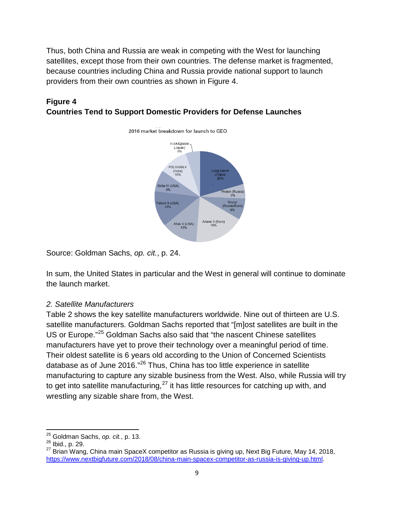Thus, both China and Russia are weak in competing with the West for launching satellites, except those from their own countries. The defense market is fragmented, because countries including China and Russia provide national support to launch providers from their own countries as shown in Figure 4.

## **Figure 4 Countries Tend to Support Domestic Providers for Defense Launches**

2016 market breakdown for launch to GEO

H-IIA/Epsilon (Japan) PSLV/GSLV  $(India)$ <br> $10%$ Delta IV (USA)<br>8% on 9 (USA)<br>13% Ariane 5 (Euro) Atlas V (USA)<br>13%

Source: Goldman Sachs, *op. cit.*, p. 24.

In sum, the United States in particular and the West in general will continue to dominate the launch market.

#### *2. Satellite Manufacturers*

Table 2 shows the key satellite manufacturers worldwide. Nine out of thirteen are U.S. satellite manufacturers. Goldman Sachs reported that "[m]ost satellites are built in the US or Europe."[25](#page-8-0) Goldman Sachs also said that "the nascent Chinese satellites manufacturers have yet to prove their technology over a meaningful period of time. Their oldest satellite is 6 years old according to the Union of Concerned Scientists database as of June 2016."<sup>[26](#page-8-1)</sup> Thus, China has too little experience in satellite manufacturing to capture any sizable business from the West. Also, while Russia will try to get into satellite manufacturing, $^{27}$  $^{27}$  $^{27}$  it has little resources for catching up with, and wrestling any sizable share from, the West.

<span id="page-8-0"></span><sup>25</sup> Goldman Sachs, *op. cit.*, p. 13. <sup>26</sup> Ibid., p. 29.

<span id="page-8-2"></span><span id="page-8-1"></span><sup>27</sup> Brian Wang, China main SpaceX competitor as Russia is giving up, Next Big Future, May 14, 2018, [https://www.nextbigfuture.com/2018/08/china-main-spacex-competitor-as-russia-is-giving-up.html.](https://www.nextbigfuture.com/2018/08/china-main-spacex-competitor-as-russia-is-giving-up.html)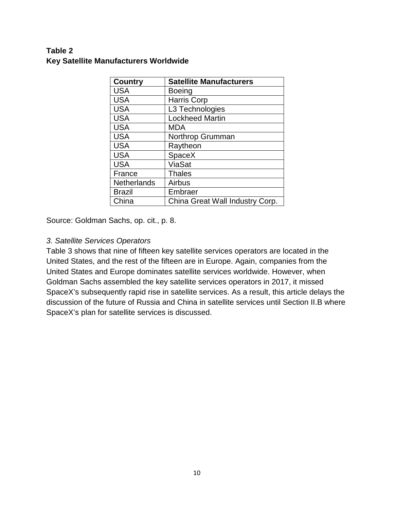## **Table 2 Key Satellite Manufacturers Worldwide**

| <b>Country</b>     | <b>Satellite Manufacturers</b>  |
|--------------------|---------------------------------|
| <b>USA</b>         | <b>Boeing</b>                   |
| <b>USA</b>         | Harris Corp                     |
| <b>USA</b>         | L3 Technologies                 |
| <b>USA</b>         | <b>Lockheed Martin</b>          |
| <b>USA</b>         | <b>MDA</b>                      |
| <b>USA</b>         | Northrop Grumman                |
| <b>USA</b>         | Raytheon                        |
| <b>USA</b>         | SpaceX                          |
| <b>USA</b>         | ViaSat                          |
| France             | <b>Thales</b>                   |
| <b>Netherlands</b> | Airbus                          |
| <b>Brazil</b>      | Embraer                         |
| China              | China Great Wall Industry Corp. |

Source: Goldman Sachs, op. cit., p. 8.

#### *3. Satellite Services Operators*

Table 3 shows that nine of fifteen key satellite services operators are located in the United States, and the rest of the fifteen are in Europe. Again, companies from the United States and Europe dominates satellite services worldwide. However, when Goldman Sachs assembled the key satellite services operators in 2017, it missed SpaceX's subsequently rapid rise in satellite services. As a result, this article delays the discussion of the future of Russia and China in satellite services until Section II.B where SpaceX's plan for satellite services is discussed.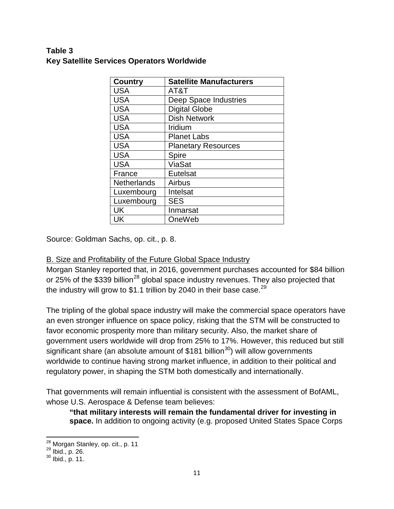# **Table 3 Key Satellite Services Operators Worldwide**

| <b>Country</b>     | <b>Satellite Manufacturers</b> |
|--------------------|--------------------------------|
| <b>USA</b>         | AT&T                           |
| <b>USA</b>         | Deep Space Industries          |
| <b>USA</b>         | <b>Digital Globe</b>           |
| <b>USA</b>         | <b>Dish Network</b>            |
| <b>USA</b>         | Iridium                        |
| <b>USA</b>         | <b>Planet Labs</b>             |
| <b>USA</b>         | <b>Planetary Resources</b>     |
| <b>USA</b>         | <b>Spire</b>                   |
| <b>USA</b>         | ViaSat                         |
| France             | Eutelsat                       |
| <b>Netherlands</b> | Airbus                         |
| Luxembourg         | Intelsat                       |
| Luxembourg         | <b>SES</b>                     |
| UK                 | Inmarsat                       |
| UK                 | OneWeb                         |

Source: Goldman Sachs, op. cit., p. 8.

# B. Size and Profitability of the Future Global Space Industry

Morgan Stanley reported that, in 2016, government purchases accounted for \$84 billion or 25% of the \$339 billion<sup>[28](#page-10-0)</sup> global space industry revenues. They also projected that the industry will grow to \$1.1 trillion by 2040 in their base case.<sup>[29](#page-10-1)</sup>

The tripling of the global space industry will make the commercial space operators have an even stronger influence on space policy, risking that the STM will be constructed to favor economic prosperity more than military security. Also, the market share of government users worldwide will drop from 25% to 17%. However, this reduced but still significant share (an absolute amount of \$181 billion<sup>[30](#page-10-2)</sup>) will allow governments worldwide to continue having strong market influence, in addition to their political and regulatory power, in shaping the STM both domestically and internationally.

That governments will remain influential is consistent with the assessment of BofAML, whose U.S. Aerospace & Defense team believes:

**"that military interests will remain the fundamental driver for investing in space.** In addition to ongoing activity (e.g. proposed United States Space Corps

<span id="page-10-1"></span><span id="page-10-0"></span><sup>&</sup>lt;sup>28</sup> Morgan Stanley, op. cit., p. 11<br><sup>29</sup> Ibid., p. 26.<br><sup>30</sup> Ibid., p. 11.

<span id="page-10-2"></span>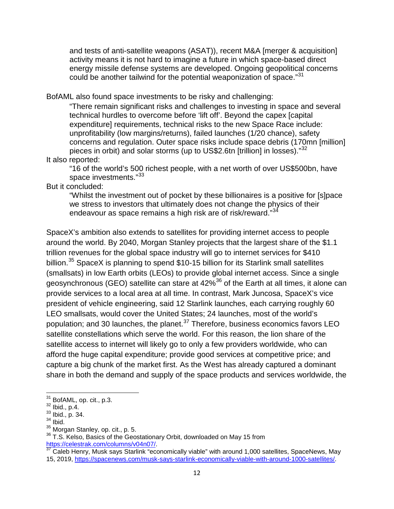and tests of anti-satellite weapons (ASAT)), recent M&A [merger & acquisition] activity means it is not hard to imagine a future in which space-based direct energy missile defense systems are developed. Ongoing geopolitical concerns could be another tailwind for the potential weaponization of space."[31](#page-11-0)

BofAML also found space investments to be risky and challenging:

"There remain significant risks and challenges to investing in space and several technical hurdles to overcome before 'lift off'. Beyond the capex [capital expenditure] requirements, technical risks to the new Space Race include: unprofitability (low margins/returns), failed launches (1/20 chance), safety concerns and regulation. Outer space risks include space debris (170mn [million] pieces in orbit) and solar storms (up to US\$2.6tn [trillion] in losses)."<sup>[32](#page-11-1)</sup>

#### It also reported:

"16 of the world's 500 richest people, with a net worth of over US\$500bn, have space investments."<sup>[33](#page-11-2)</sup>

But it concluded:

"Whilst the investment out of pocket by these billionaires is a positive for [s]pace we stress to investors that ultimately does not change the physics of their endeavour as space remains a high risk are of risk/reward."<sup>[34](#page-11-3)</sup>

SpaceX's ambition also extends to satellites for providing internet access to people around the world. By 2040, Morgan Stanley projects that the largest share of the \$1.1 trillion revenues for the global space industry will go to internet services for \$410 billion.<sup>[35](#page-11-4)</sup> SpaceX is planning to spend \$10-15 billion for its Starlink small satellites (smallsats) in low Earth orbits (LEOs) to provide global internet access. Since a single geosynchronous (GEO) satellite can stare at 42%<sup>[36](#page-11-5)</sup> of the Earth at all times, it alone can provide services to a local area at all time. In contrast, Mark Juncosa, SpaceX's vice president of vehicle engineering, said 12 Starlink launches, each carrying roughly 60 LEO smallsats, would cover the United States; 24 launches, most of the world's population; and 30 launches, the planet. $37$  Therefore, business economics favors LEO satellite constellations which serve the world. For this reason, the lion share of the satellite access to internet will likely go to only a few providers worldwide, who can afford the huge capital expenditure; provide good services at competitive price; and capture a big chunk of the market first. As the West has already captured a dominant share in both the demand and supply of the space products and services worldwide, the

<span id="page-11-2"></span>

<span id="page-11-3"></span>

<span id="page-11-1"></span><span id="page-11-0"></span><sup>&</sup>lt;sup>31</sup> BofAML, op. cit., p.3.<br><sup>32</sup> Ibid., p.4.<br><sup>33</sup> Ibid., p. 34.<br><sup>34</sup> Ibid.<br><sup>35</sup> Morgan Stanley, op. cit., p. 5.

<span id="page-11-4"></span><sup>&</sup>lt;sup>36</sup> T.S. Kelso, Basics of the Geostationary Orbit, downloaded on May 15 from

<span id="page-11-6"></span><span id="page-11-5"></span>[https://celestrak.com/columns/v04n07/.](https://celestrak.com/columns/v04n07/)<br><sup>[37](https://celestrak.com/columns/v04n07/)</sup> Caleb Henry, Musk says Starlink "economically viable" with around 1,000 satellites, SpaceNews, May 15, 2019, [https://spacenews.com/musk-says-starlink-economically-viable-with-around-1000-satellites/.](https://spacenews.com/musk-says-starlink-economically-viable-with-around-1000-satellites/)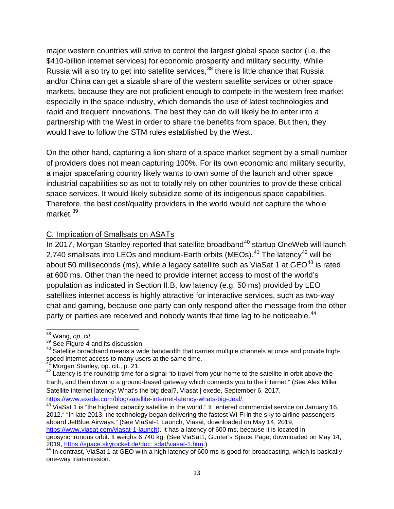major western countries will strive to control the largest global space sector (i.e. the \$410-billion internet services) for economic prosperity and military security. While Russia will also try to get into satellite services,  $38$  there is little chance that Russia and/or China can get a sizable share of the western satellite services or other space markets, because they are not proficient enough to compete in the western free market especially in the space industry, which demands the use of latest technologies and rapid and frequent innovations. The best they can do will likely be to enter into a partnership with the West in order to share the benefits from space. But then, they would have to follow the STM rules established by the West.

On the other hand, capturing a lion share of a space market segment by a small number of providers does not mean capturing 100%. For its own economic and military security, a major spacefaring country likely wants to own some of the launch and other space industrial capabilities so as not to totally rely on other countries to provide these critical space services. It would likely subsidize some of its indigenous space capabilities. Therefore, the best cost/quality providers in the world would not capture the whole market.<sup>[39](#page-12-1)</sup>

#### C. Implication of Smallsats on ASATs

In 2017, Morgan Stanley reported that satellite broadband<sup>[40](#page-12-2)</sup> startup OneWeb will launch 2,740 smallsats into LEOs and medium-Earth orbits (MEOs). $41$  The latency  $42$  will be about 50 milliseconds (ms), while a legacy satellite such as ViaSat 1 at  $GEO^{43}$  $GEO^{43}$  $GEO^{43}$  is rated at 600 ms. Other than the need to provide internet access to most of the world's population as indicated in Section II.B, low latency (e.g. 50 ms) provided by LEO satellites internet access is highly attractive for interactive services, such as two-way chat and gaming, because one party can only respond after the message from the other party or parties are received and nobody wants that time lag to be noticeable.<sup>[44](#page-12-6)</sup>

<span id="page-12-5"></span>[https://www.exede.com/blog/satellite-internet-latency-whats-big-deal/.](https://www.exede.com/blog/satellite-internet-latency-whats-big-deal/)<br><sup>[43](https://www.exede.com/blog/satellite-internet-latency-whats-big-deal/)</sup> ViaSat 1 is "the highest capacity satellite in the world." It "entered commercial service on January 16, 2012." "In late 2013, the technology began delivering the fastest Wi-Fi in the sky to airline passengers aboard JetBlue Airways." (See ViaSat-1 Launch, Viasat, downloaded on May 14, 2019, [https://www.viasat.com/viasat-1-launch\)](https://www.viasat.com/viasat-1-launch). It has a latency of 600 ms, because it is located in geosynchronous orbit. It weighs 6,740 kg. (See ViaSat1, Gunter's Space Page, downloaded on May 14, 2019, https://space.skyrocket.de/doc sdat/viasat-1.htm.)

<span id="page-12-0"></span><sup>&</sup>lt;sup>38</sup> Wang, *op. cit.*<br><sup>39</sup> See Figure 4 and its discussion.

<span id="page-12-2"></span><span id="page-12-1"></span><sup>40</sup> Satellite broadband means a wide bandwidth that carries multiple channels at once and provide highspeed internet access to many users at the same time.

<span id="page-12-3"></span>Morgan Stanley, op. cit., p. 21.

<span id="page-12-4"></span> $42$  Latency is the roundtrip time for a signal "to travel from your home to the satellite in orbit above the Earth, and then down to a ground-based gateway which connects you to the internet." (See Alex Miller, Satellite internet latency: What's the big deal?, Viasat | exede, September 6, 2017,

<span id="page-12-6"></span><sup>2019,</sup> https://space.or.j/concet.de/doc\_sdat-1.html./<br><sup>44</sup> In contrast, ViaSat 1 at GEO with a high latency of 600 ms is good for broadcasting, which is basically one-way transmission.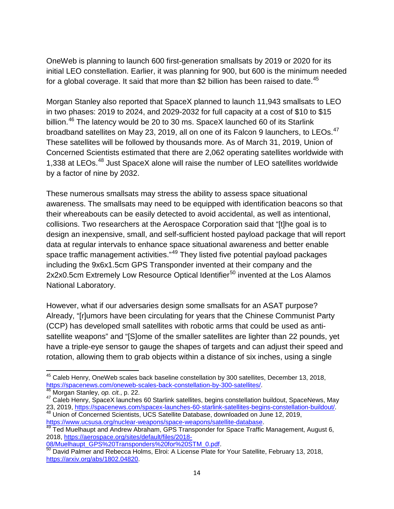OneWeb is planning to launch 600 first-generation smallsats by 2019 or 2020 for its initial LEO constellation. Earlier, it was planning for 900, but 600 is the minimum needed for a global coverage. It said that more than \$2 billion has been raised to date.<sup>[45](#page-13-0)</sup>

Morgan Stanley also reported that SpaceX planned to launch 11,943 smallsats to LEO in two phases: 2019 to 2024, and 2029-2032 for full capacity at a cost of \$10 to \$15 billion.<sup>[46](#page-13-1)</sup> The latency would be 20 to 30 ms. SpaceX launched 60 of its Starlink broadband satellites on May 23, 2019, all on one of its Falcon 9 launchers, to LEOs.<sup>[47](#page-13-2)</sup> These satellites will be followed by thousands more. As of March 31, 2019, Union of Concerned Scientists estimated that there are 2,062 operating satellites worldwide with 1,338 at LEOs.<sup>[48](#page-13-3)</sup> Just SpaceX alone will raise the number of LEO satellites worldwide by a factor of nine by 2032.

These numerous smallsats may stress the ability to assess space situational awareness. The smallsats may need to be equipped with identification beacons so that their whereabouts can be easily detected to avoid accidental, as well as intentional, collisions. Two researchers at the Aerospace Corporation said that "[t]he goal is to design an inexpensive, small, and self-sufficient hosted payload package that will report data at regular intervals to enhance space situational awareness and better enable space traffic management activities."<sup>[49](#page-13-4)</sup> They listed five potential payload packages including the 9x6x1.5cm GPS Transponder invented at their company and the 2x2x0.5cm Extremely Low Resource Optical Identifier<sup>[50](#page-13-5)</sup> invented at the Los Alamos National Laboratory.

However, what if our adversaries design some smallsats for an ASAT purpose? Already, "[r]umors have been circulating for years that the Chinese Communist Party (CCP) has developed small satellites with robotic arms that could be used as antisatellite weapons" and "[S]ome of the smaller satellites are lighter than 22 pounds, yet have a triple-eye sensor to gauge the shapes of targets and can adjust their speed and rotation, allowing them to grab objects within a distance of six inches, using a single

<span id="page-13-0"></span><sup>&</sup>lt;sup>45</sup> Caleb Henry, OneWeb scales back baseline constellation by 300 satellites, December 13, 2018,<br>https://spacenews.com/oneweb-scales-back-constellation-by-300-satellites/.

<span id="page-13-1"></span><sup>&</sup>lt;sup>[46](https://spacenews.com/oneweb-scales-back-constellation-by-300-satellites/)</sup> Morgan Stanley, *op. cit.*, p. 22.<br><sup>47</sup> Caleb Henry, SpaceX launches 60 Starlink satellites, begins constellation buildout, SpaceNews, May

<span id="page-13-3"></span><span id="page-13-2"></span><sup>23, 2019,</sup> [https://spacenews.com/spacex-launches-60-starlink-satellites-begins-constellation-buildout/.](https://spacenews.com/spacex-launches-60-starlink-satellites-begins-constellation-buildout/)<br><sup>48</sup> Union of Concerned Scientists, UCS Satellite Database, downloaded on June 12, 2019,<br>https://www.ucsusa.org/nuclear

<span id="page-13-4"></span><sup>&</sup>lt;sup>49</sup> Ted Muelhaupt and Andrew Abraham, GPS Transponder for Space Traffic Management, August 6, 2018, [https://aerospace.org/sites/default/files/2018-](https://aerospace.org/sites/default/files/2018-08/Muelhaupt_GPS%20Transponders%20for%20STM_0.pdf)

<span id="page-13-5"></span>[<sup>08/</sup>Muelhaupt\\_GPS%20Transponders%20for%20STM\\_0.pdf.](https://aerospace.org/sites/default/files/2018-08/Muelhaupt_GPS%20Transponders%20for%20STM_0.pdf)<br>
<sup>[50](https://aerospace.org/sites/default/files/2018-08/Muelhaupt_GPS%20Transponders%20for%20STM_0.pdf)</sup> David Palmer and Rebecca Holms, Elroi: A License Plate for Your Satellite, February 13, 2018, [https://arxiv.org/abs/1802.04820.](https://arxiv.org/abs/1802.04820)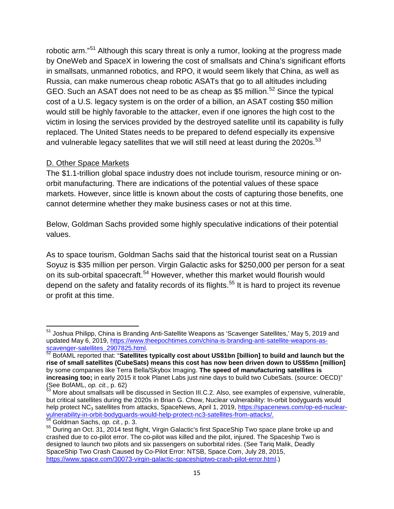robotic arm."[51](#page-14-0) Although this scary threat is only a rumor, looking at the progress made by OneWeb and SpaceX in lowering the cost of smallsats and China's significant efforts in smallsats, unmanned robotics, and RPO, it would seem likely that China, as well as Russia, can make numerous cheap robotic ASATs that go to all altitudes including GEO. Such an ASAT does not need to be as cheap as \$5 million.<sup>[52](#page-14-1)</sup> Since the typical cost of a U.S. legacy system is on the order of a billion, an ASAT costing \$50 million would still be highly favorable to the attacker, even if one ignores the high cost to the victim in losing the services provided by the destroyed satellite until its capability is fully replaced. The United States needs to be prepared to defend especially its expensive and vulnerable legacy satellites that we will still need at least during the 2020s.<sup>[53](#page-14-2)</sup>

#### D. Other Space Markets

The \$1.1-trillion global space industry does not include tourism, resource mining or onorbit manufacturing. There are indications of the potential values of these space markets. However, since little is known about the costs of capturing those benefits, one cannot determine whether they make business cases or not at this time.

Below, Goldman Sachs provided some highly speculative indications of their potential values.

As to space tourism, Goldman Sachs said that the historical tourist seat on a Russian Soyuz is \$35 million per person. Virgin Galactic asks for \$250,000 per person for a seat on its sub-orbital spacecraft.<sup>[54](#page-14-3)</sup> However, whether this market would flourish would depend on the safety and fatality records of its flights.<sup>[55](#page-14-4)</sup> It is hard to project its revenue or profit at this time.

<span id="page-14-0"></span><sup>&</sup>lt;sup>51</sup> Joshua Philipp, China is Branding Anti-Satellite Weapons as 'Scavenger Satellites,' May 5, 2019 and updated May 6, 2019, [https://www.theepochtimes.com/china-is-branding-anti-satellite-weapons-as](https://www.theepochtimes.com/china-is-branding-anti-satellite-weapons-as-scavenger-satellites_2907825.html)[scavenger-satellites\\_2907825.html.](https://www.theepochtimes.com/china-is-branding-anti-satellite-weapons-as-scavenger-satellites_2907825.html)<br><sup>[52](https://www.theepochtimes.com/china-is-branding-anti-satellite-weapons-as-scavenger-satellites_2907825.html)</sup> BofAML reported that: "Satellites typically cost about US\$1bn [billion] to build and launch but the

<span id="page-14-1"></span>**rise of small satellites (CubeSats) means this cost has now been driven down to US\$5mn [million]** by some companies like Terra Bella/Skybox Imaging. **The speed of manufacturing satellites is increasing too;** in early 2015 it took Planet Labs just nine days to build two CubeSats. (source: OECD)"<br>(See BofAML, op. cit., p. 62)

<span id="page-14-2"></span>More about smallsats will be discussed in Section III.C.2. Also, see examples of expensive, vulnerable, but critical satellites during the 2020s in Brian G. Chow, Nuclear vulnerability: In-orbit bodyguards would help protect NC<sub>3</sub> satellites from attacks, SpaceNews, April 1, 2019, [https://spacenews.com/op-ed-nuclear](https://spacenews.com/op-ed-nuclear-vulnerability-in-orbit-bodyguards-would-help-protect-nc3-satellites-from-attacks/)[vulnerability-in-orbit-bodyguards-would-help-protect-nc3-satellites-from-attacks/.](https://spacenews.com/op-ed-nuclear-vulnerability-in-orbit-bodyguards-would-help-protect-nc3-satellites-from-attacks/) <sup>54</sup> Goldman Sachs, *op. cit.*, p. 3.

<span id="page-14-4"></span><span id="page-14-3"></span><sup>55</sup> During an Oct. 31, 2014 test flight, Virgin Galactic's first SpaceShip Two space plane broke up and crashed due to co-pilot error. The co-pilot was killed and the pilot, injured. The Spaceship Two is designed to launch two pilots and six passengers on suborbital rides. (See Tariq Malik, Deadly SpaceShip Two Crash Caused by Co-Pilot Error: NTSB, Space.Com, July 28, 2015, [https://www.space.com/30073-virgin-galactic-spaceshiptwo-crash-pilot-error.html.](https://www.space.com/30073-virgin-galactic-spaceshiptwo-crash-pilot-error.html))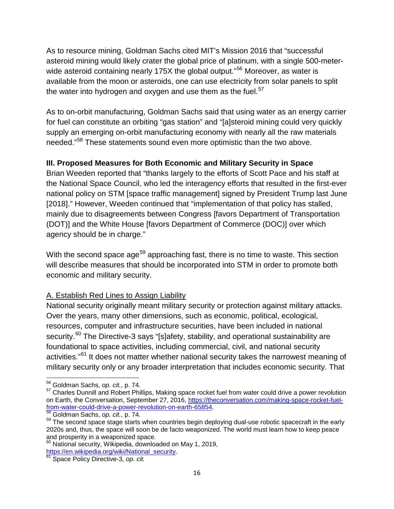As to resource mining, Goldman Sachs cited MIT's Mission 2016 that "successful asteroid mining would likely crater the global price of platinum, with a single 500-meter-wide asteroid containing nearly 175X the global output."<sup>[56](#page-15-0)</sup> Moreover, as water is available from the moon or asteroids, one can use electricity from solar panels to split the water into hydrogen and oxygen and use them as the fuel. $57$ 

As to on-orbit manufacturing, Goldman Sachs said that using water as an energy carrier for fuel can constitute an orbiting "gas station" and "[a]steroid mining could very quickly supply an emerging on-orbit manufacturing economy with nearly all the raw materials needed."[58](#page-15-2) These statements sound even more optimistic than the two above.

# **III. Proposed Measures for Both Economic and Military Security in Space**

Brian Weeden reported that "thanks largely to the efforts of Scott Pace and his staff at the National Space Council, who led the interagency efforts that resulted in the first-ever national policy on STM [space traffic management] signed by President Trump last June [2018]." However, Weeden continued that "implementation of that policy has stalled, mainly due to disagreements between Congress [favors Department of Transportation (DOT)] and the White House [favors Department of Commerce (DOC)] over which agency should be in charge."

With the second space age<sup>[59](#page-15-3)</sup> approaching fast, there is no time to waste. This section will describe measures that should be incorporated into STM in order to promote both economic and military security.

# A. Establish Red Lines to Assign Liability

National security originally meant military security or protection against military attacks. Over the years, many other dimensions, such as economic, political, ecological, resources, computer and infrastructure securities, have been included in national security.<sup>[60](#page-15-4)</sup> The Directive-3 says "[s]afety, stability, and operational sustainability are foundational to space activities, including commercial, civil, and national security activities."<sup>[61](#page-15-5)</sup> It does not matter whether national security takes the narrowest meaning of military security only or any broader interpretation that includes economic security. That

<span id="page-15-0"></span><sup>56</sup> Goldman Sachs, *op. cit.*, p. 74.

<span id="page-15-1"></span><sup>&</sup>lt;sup>57</sup> Charles Dunnill and Robert Phillips, Making space rocket fuel from water could drive a power revolution on Earth, the Conversation, September 27, 2016, [https://theconversation.com/making-space-rocket-fuel-](https://theconversation.com/making-space-rocket-fuel-from-water-could-drive-a-power-revolution-on-earth-65854)From-water-could-drive-a-power-revolution-on-earth-6[58](https://theconversation.com/making-space-rocket-fuel-from-water-could-drive-a-power-revolution-on-earth-65854)54.<br>
<sup>58</sup> Goldman Sachs, *op. cit.*, p. 74.<br>
<sup>59</sup> The second space stage starts when countries begin deploying dual-use robotic spacecraft in the early

<span id="page-15-3"></span><span id="page-15-2"></span><sup>2020</sup>s and, thus, the space will soon be de facto weaponized. The world must learn how to keep peace and prosperity in a weaponized space.

<span id="page-15-4"></span> $^{60}$  National security, Wikipedia, downloaded on May 1, 2019, [https://en.wikipedia.org/wiki/National\\_security.](https://en.wikipedia.org/wiki/National_security) <sup>61</sup> Space Policy Directive-3, *op. cit.*

<span id="page-15-5"></span>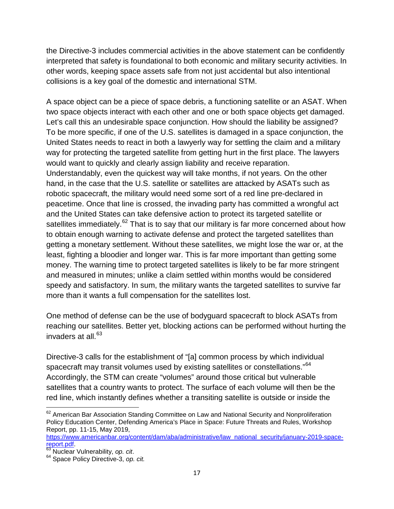the Directive-3 includes commercial activities in the above statement can be confidently interpreted that safety is foundational to both economic and military security activities. In other words, keeping space assets safe from not just accidental but also intentional collisions is a key goal of the domestic and international STM.

A space object can be a piece of space debris, a functioning satellite or an ASAT. When two space objects interact with each other and one or both space objects get damaged. Let's call this an undesirable space conjunction. How should the liability be assigned? To be more specific, if one of the U.S. satellites is damaged in a space conjunction, the United States needs to react in both a lawyerly way for settling the claim and a military way for protecting the targeted satellite from getting hurt in the first place. The lawyers would want to quickly and clearly assign liability and receive reparation. Understandably, even the quickest way will take months, if not years. On the other hand, in the case that the U.S. satellite or satellites are attacked by ASATs such as robotic spacecraft, the military would need some sort of a red line pre-declared in peacetime. Once that line is crossed, the invading party has committed a wrongful act and the United States can take defensive action to protect its targeted satellite or satellites immediately.<sup>[62](#page-16-0)</sup> That is to say that our military is far more concerned about how to obtain enough warning to activate defense and protect the targeted satellites than getting a monetary settlement. Without these satellites, we might lose the war or, at the least, fighting a bloodier and longer war. This is far more important than getting some money. The warning time to protect targeted satellites is likely to be far more stringent and measured in minutes; unlike a claim settled within months would be considered speedy and satisfactory. In sum, the military wants the targeted satellites to survive far more than it wants a full compensation for the satellites lost.

One method of defense can be the use of bodyguard spacecraft to block ASATs from reaching our satellites. Better yet, blocking actions can be performed without hurting the invaders at all. $63$ 

Directive-3 calls for the establishment of "[a] common process by which individual spacecraft may transit volumes used by existing satellites or constellations."<sup>[64](#page-16-2)</sup> Accordingly, the STM can create "volumes" around those critical but vulnerable satellites that a country wants to protect. The surface of each volume will then be the red line, which instantly defines whether a transiting satellite is outside or inside the

<span id="page-16-0"></span> $62$  American Bar Association Standing Committee on Law and National Security and Nonproliferation Policy Education Center, Defending America's Place in Space: Future Threats and Rules, Workshop Report, pp. 11-15, May 2019,

[https://www.americanbar.org/content/dam/aba/administrative/law\\_national\\_security/january-2019-space](https://www.americanbar.org/content/dam/aba/administrative/law_national_security/january-2019-space-report.pdf)[report.pdf.](https://www.americanbar.org/content/dam/aba/administrative/law_national_security/january-2019-space-report.pdf) [63](https://www.americanbar.org/content/dam/aba/administrative/law_national_security/january-2019-space-report.pdf) Nuclear Vulnerability, *op. cit*. <sup>64</sup> Space Policy Directive-3, *op. cit.*

<span id="page-16-1"></span>

<span id="page-16-2"></span>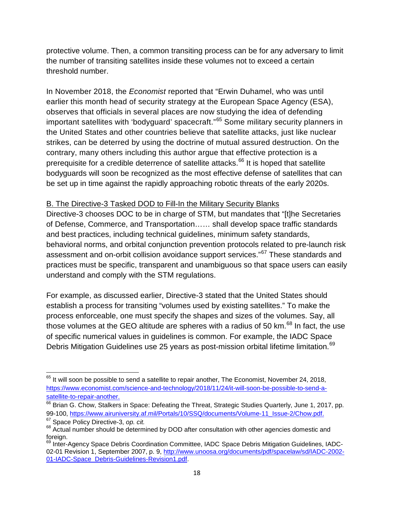protective volume. Then, a common transiting process can be for any adversary to limit the number of transiting satellites inside these volumes not to exceed a certain threshold number.

In November 2018, the *Economist* reported that "Erwin Duhamel, who was until earlier this month head of security strategy at the European Space Agency (ESA), observes that officials in several places are now studying the idea of defending important satellites with 'bodyguard' spacecraft."<sup>[65](#page-17-0)</sup> Some military security planners in the United States and other countries believe that satellite attacks, just like nuclear strikes, can be deterred by using the doctrine of mutual assured destruction. On the contrary, many others including this author argue that effective protection is a prerequisite for a credible deterrence of satellite attacks.<sup>[66](#page-17-1)</sup> It is hoped that satellite bodyguards will soon be recognized as the most effective defense of satellites that can be set up in time against the rapidly approaching robotic threats of the early 2020s.

#### B. The Directive-3 Tasked DOD to Fill-In the Military Security Blanks

Directive-3 chooses DOC to be in charge of STM, but mandates that "[t]he Secretaries of Defense, Commerce, and Transportation…… shall develop space traffic standards and best practices, including technical guidelines, minimum safety standards, behavioral norms, and orbital conjunction prevention protocols related to pre-launch risk assessment and on-orbit collision avoidance support services."[67](#page-17-2) These standards and practices must be specific, transparent and unambiguous so that space users can easily understand and comply with the STM regulations.

For example, as discussed earlier, Directive-3 stated that the United States should establish a process for transiting "volumes used by existing satellites." To make the process enforceable, one must specify the shapes and sizes of the volumes. Say, all those volumes at the GEO altitude are spheres with a radius of 50 km. $^{68}$  $^{68}$  $^{68}$  In fact, the use of specific numerical values in guidelines is common. For example, the IADC Space Debris Mitigation Guidelines use 25 years as post-mission orbital lifetime limitation.<sup>[69](#page-17-4)</sup>

<span id="page-17-0"></span> $65$  It will soon be possible to send a satellite to repair another, The Economist, November 24, 2018, [https://www.economist.com/science-and-technology/2018/11/24/it-will-soon-be-possible-to-send-a](https://www.economist.com/science-and-technology/2018/11/24/it-will-soon-be-possible-to-send-a-satellite-to-repair-another)[satellite-to-repair-another.](https://www.economist.com/science-and-technology/2018/11/24/it-will-soon-be-possible-to-send-a-satellite-to-repair-another)

<span id="page-17-1"></span><sup>&</sup>lt;sup>66</sup> Brian G. Chow, Stalkers in Space: Defeating the Threat, Strategic Studies Quarterly, June 1, 2017, pp. 99-100, [https://www.airuniversity.af.mil/Portals/10/SSQ/documents/Volume-11\\_Issue-2/Chow.pdf.](https://www.airuniversity.af.mil/Portals/10/SSQ/documents/Volume-11_Issue-2/Chow.pdf)<br><sup>67</sup> Space Policy Directive-3, op. cit.

<span id="page-17-3"></span><span id="page-17-2"></span><sup>&</sup>lt;sup>68</sup> Actual number should be determined by DOD after consultation with other agencies domestic and foreign.

<span id="page-17-4"></span><sup>&</sup>lt;sup>69</sup> Inter-Agency Space Debris Coordination Committee, IADC Space Debris Mitigation Guidelines, IADC02-01 Revision 1, September 2007, p. 9, [http://www.unoosa.org/documents/pdf/spacelaw/sd/IADC-2002-](http://www.unoosa.org/documents/pdf/spacelaw/sd/IADC-2002-01-IADC-Space_Debris-Guidelines-Revision1.pdf) [01-IADC-Space\\_Debris-Guidelines-Revision1.pdf.](http://www.unoosa.org/documents/pdf/spacelaw/sd/IADC-2002-01-IADC-Space_Debris-Guidelines-Revision1.pdf)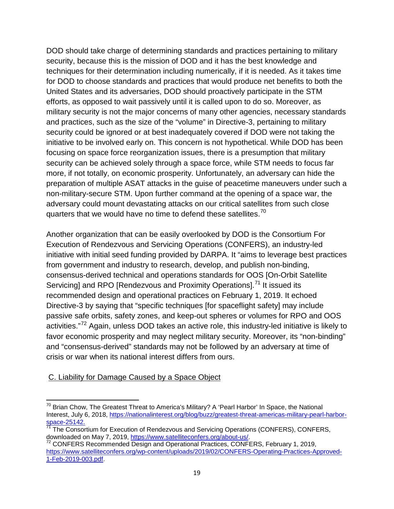DOD should take charge of determining standards and practices pertaining to military security, because this is the mission of DOD and it has the best knowledge and techniques for their determination including numerically, if it is needed. As it takes time for DOD to choose standards and practices that would produce net benefits to both the United States and its adversaries, DOD should proactively participate in the STM efforts, as opposed to wait passively until it is called upon to do so. Moreover, as military security is not the major concerns of many other agencies, necessary standards and practices, such as the size of the "volume" in Directive-3, pertaining to military security could be ignored or at best inadequately covered if DOD were not taking the initiative to be involved early on. This concern is not hypothetical. While DOD has been focusing on space force reorganization issues, there is a presumption that military security can be achieved solely through a space force, while STM needs to focus far more, if not totally, on economic prosperity. Unfortunately, an adversary can hide the preparation of multiple ASAT attacks in the guise of peacetime maneuvers under such a non-military-secure STM. Upon further command at the opening of a space war, the adversary could mount devastating attacks on our critical satellites from such close quarters that we would have no time to defend these satellites.<sup>[70](#page-18-0)</sup>

Another organization that can be easily overlooked by DOD is the Consortium For Execution of Rendezvous and Servicing Operations (CONFERS), an industry-led initiative with initial seed funding provided by DARPA. It "aims to leverage best practices from government and industry to research, develop, and publish non-binding, consensus-derived technical and operations standards for OOS [On-Orbit Satellite Servicing] and RPO [Rendezvous and Proximity Operations].<sup>[71](#page-18-1)</sup> It issued its recommended design and operational practices on February 1, 2019. It echoed Directive-3 by saying that "specific techniques [for spaceflight safety] may include passive safe orbits, safety zones, and keep-out spheres or volumes for RPO and OOS activities."<sup>[72](#page-18-2)</sup> Again, unless DOD takes an active role, this industry-led initiative is likely to favor economic prosperity and may neglect military security. Moreover, its "non-binding" and "consensus-derived" standards may not be followed by an adversary at time of crisis or war when its national interest differs from ours.

#### C. Liability for Damage Caused by a Space Object

<span id="page-18-0"></span> $70$  Brian Chow, The Greatest Threat to America's Military? A 'Pearl Harbor' In Space, the National Interest, July 6, 2018, [https://nationalinterest.org/blog/buzz/greatest-threat-americas-military-pearl-harbor](https://nationalinterest.org/blog/buzz/greatest-threat-americas-military-pearl-harbor-space-25142)[space-25142.](https://nationalinterest.org/blog/buzz/greatest-threat-americas-military-pearl-harbor-space-25142)<br><sup>71</sup> The Consortium for Execution of Rendezvous and Servicing Operations (CONFERS), CONFERS,

<span id="page-18-1"></span>downloaded on May 7, 2019, [https://www.satelliteconfers.org/about-us/.](https://www.satelliteconfers.org/about-us/)<br><sup>72</sup> CONFERS Recommended Design and Operational Practices, CONFERS, February 1, 2019,

<span id="page-18-2"></span>[https://www.satelliteconfers.org/wp-content/uploads/2019/02/CONFERS-Operating-Practices-Approved-](https://www.satelliteconfers.org/wp-content/uploads/2019/02/CONFERS-Operating-Practices-Approved-1-Feb-2019-003.pdf)[1-Feb-2019-003.pdf.](https://www.satelliteconfers.org/wp-content/uploads/2019/02/CONFERS-Operating-Practices-Approved-1-Feb-2019-003.pdf)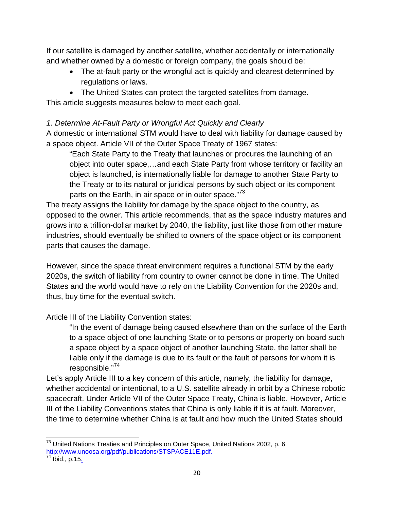If our satellite is damaged by another satellite, whether accidentally or internationally and whether owned by a domestic or foreign company, the goals should be:

- The at-fault party or the wrongful act is quickly and clearest determined by regulations or laws.
- The United States can protect the targeted satellites from damage.

This article suggests measures below to meet each goal.

## *1. Determine At-Fault Party or Wrongful Act Quickly and Clearly*

A domestic or international STM would have to deal with liability for damage caused by a space object. Article VII of the Outer Space Treaty of 1967 states:

"Each State Party to the Treaty that launches or procures the launching of an object into outer space,…and each State Party from whose territory or facility an object is launched, is internationally liable for damage to another State Party to the Treaty or to its natural or juridical persons by such object or its component parts on the Earth, in air space or in outer space."<sup>[73](#page-19-0)</sup>

The treaty assigns the liability for damage by the space object to the country, as opposed to the owner. This article recommends, that as the space industry matures and grows into a trillion-dollar market by 2040, the liability, just like those from other mature industries, should eventually be shifted to owners of the space object or its component parts that causes the damage.

However, since the space threat environment requires a functional STM by the early 2020s, the switch of liability from country to owner cannot be done in time. The United States and the world would have to rely on the Liability Convention for the 2020s and, thus, buy time for the eventual switch.

Article III of the Liability Convention states:

"In the event of damage being caused elsewhere than on the surface of the Earth to a space object of one launching State or to persons or property on board such a space object by a space object of another launching State, the latter shall be liable only if the damage is due to its fault or the fault of persons for whom it is responsible."[74](#page-19-1)

Let's apply Article III to a key concern of this article, namely, the liability for damage, whether accidental or intentional, to a U.S. satellite already in orbit by a Chinese robotic spacecraft. Under Article VII of the Outer Space Treaty, China is liable. However, Article III of the Liability Conventions states that China is only liable if it is at fault. Moreover, the time to determine whether China is at fault and how much the United States should

<span id="page-19-0"></span> $^{73}$  United Nations Treaties and Principles on Outer Space, United Nations 2002, p. 6, [http://www.unoosa.org/pdf/publications/STSPACE11E.pdf.](http://www.unoosa.org/pdf/publications/STSPACE11E.pdf)

<span id="page-19-1"></span>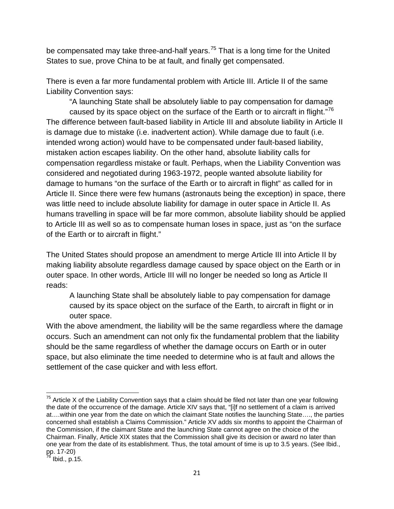be compensated may take three-and-half years.<sup>[75](#page-20-0)</sup> That is a long time for the United States to sue, prove China to be at fault, and finally get compensated.

There is even a far more fundamental problem with Article III. Article II of the same Liability Convention says:

"A launching State shall be absolutely liable to pay compensation for damage caused by its space object on the surface of the Earth or to aircraft in flight."<sup>[76](#page-20-1)</sup> The difference between fault-based liability in Article III and absolute liability in Article II is damage due to mistake (i.e. inadvertent action). While damage due to fault (i.e. intended wrong action) would have to be compensated under fault-based liability, mistaken action escapes liability. On the other hand, absolute liability calls for compensation regardless mistake or fault. Perhaps, when the Liability Convention was considered and negotiated during 1963-1972, people wanted absolute liability for damage to humans "on the surface of the Earth or to aircraft in flight" as called for in Article II. Since there were few humans (astronauts being the exception) in space, there was little need to include absolute liability for damage in outer space in Article II. As humans travelling in space will be far more common, absolute liability should be applied to Article III as well so as to compensate human loses in space, just as "on the surface of the Earth or to aircraft in flight."

The United States should propose an amendment to merge Article III into Article II by making liability absolute regardless damage caused by space object on the Earth or in outer space. In other words, Article III will no longer be needed so long as Article II reads:

A launching State shall be absolutely liable to pay compensation for damage caused by its space object on the surface of the Earth, to aircraft in flight or in outer space.

With the above amendment, the liability will be the same regardless where the damage occurs. Such an amendment can not only fix the fundamental problem that the liability should be the same regardless of whether the damage occurs on Earth or in outer space, but also eliminate the time needed to determine who is at fault and allows the settlement of the case quicker and with less effort.

<span id="page-20-0"></span> $75$  Article X of the Liability Convention says that a claim should be filed not later than one year following the date of the occurrence of the damage. Article XIV says that, "[i]f no settlement of a claim is arrived at….within one year from the date on which the claimant State notifies the launching State…., the parties concerned shall establish a Claims Commission." Article XV adds six months to appoint the Chairman of the Commission, if the claimant State and the launching State cannot agree on the choice of the Chairman. Finally, Article XIX states that the Commission shall give its decision or award no later than one year from the date of its establishment. Thus, the total amount of time is up to 3.5 years. (See Ibid., pp.  $17-20$ )<br> $^{76}$  Ibid., p.15.

<span id="page-20-1"></span>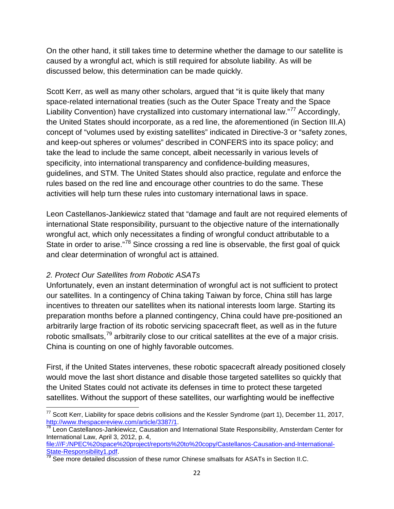On the other hand, it still takes time to determine whether the damage to our satellite is caused by a wrongful act, which is still required for absolute liability. As will be discussed below, this determination can be made quickly.

Scott Kerr, as well as many other scholars, argued that "it is quite likely that many space-related international treaties (such as the Outer Space Treaty and the Space Liability Convention) have crystallized into customary international law."<sup>[77](#page-21-0)</sup> Accordingly, the United States should incorporate, as a red line, the aforementioned (in Section III.A) concept of "volumes used by existing satellites" indicated in Directive-3 or "safety zones, and keep-out spheres or volumes" described in CONFERS into its space policy; and take the lead to include the same concept, albeit necessarily in various levels of specificity, into international transparency and confidence-building measures, guidelines, and STM. The United States should also practice, regulate and enforce the rules based on the red line and encourage other countries to do the same. These activities will help turn these rules into customary international laws in space.

Leon Castellanos-Jankiewicz stated that "damage and fault are not required elements of international State responsibility, pursuant to the objective nature of the internationally wrongful act, which only necessitates a finding of wrongful conduct attributable to a State in order to arise."<sup>[78](#page-21-1)</sup> Since crossing a red line is observable, the first goal of quick and clear determination of wrongful act is attained.

#### *2. Protect Our Satellites from Robotic ASATs*

Unfortunately, even an instant determination of wrongful act is not sufficient to protect our satellites. In a contingency of China taking Taiwan by force, China still has large incentives to threaten our satellites when its national interests loom large. Starting its preparation months before a planned contingency, China could have pre-positioned an arbitrarily large fraction of its robotic servicing spacecraft fleet, as well as in the future robotic smallsats,<sup>[79](#page-21-2)</sup> arbitrarily close to our critical satellites at the eve of a major crisis. China is counting on one of highly favorable outcomes.

First, if the United States intervenes, these robotic spacecraft already positioned closely would move the last short distance and disable those targeted satellites so quickly that the United States could not activate its defenses in time to protect these targeted satellites. Without the support of these satellites, our warfighting would be ineffective

<span id="page-21-0"></span> $^{77}$  Scott Kerr, Liability for space debris collisions and the Kessler Syndrome (part 1), December 11, 2017, http://www.thespacereview.com/article/3387/1.

<span id="page-21-1"></span> $\frac{78}{78}$  $\frac{78}{78}$  $\frac{78}{78}$  Leon Castellanos-Jankiewicz, Causation and International State Responsibility, Amsterdam Center for International Law, April 3, 2012, p. 4,

file:///F:/NPEC%20space%20project/reports%20to%20copy/Castellanos-Causation-and-International-State-Responsibility1.pdf.<br><sup>79</sup> See more detailed discussion of these rumor Chinese smallsats for ASATs in Section II.C.

<span id="page-21-2"></span>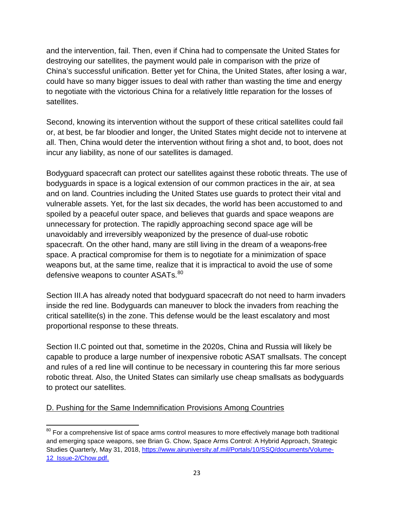and the intervention, fail. Then, even if China had to compensate the United States for destroying our satellites, the payment would pale in comparison with the prize of China's successful unification. Better yet for China, the United States, after losing a war, could have so many bigger issues to deal with rather than wasting the time and energy to negotiate with the victorious China for a relatively little reparation for the losses of satellites.

Second, knowing its intervention without the support of these critical satellites could fail or, at best, be far bloodier and longer, the United States might decide not to intervene at all. Then, China would deter the intervention without firing a shot and, to boot, does not incur any liability, as none of our satellites is damaged.

Bodyguard spacecraft can protect our satellites against these robotic threats. The use of bodyguards in space is a logical extension of our common practices in the air, at sea and on land. Countries including the United States use guards to protect their vital and vulnerable assets. Yet, for the last six decades, the world has been accustomed to and spoiled by a peaceful outer space, and believes that guards and space weapons are unnecessary for protection. The rapidly approaching second space age will be unavoidably and irreversibly weaponized by the presence of dual-use robotic spacecraft. On the other hand, many are still living in the dream of a weapons-free space. A practical compromise for them is to negotiate for a minimization of space weapons but, at the same time, realize that it is impractical to avoid the use of some defensive weapons to counter ASATs.<sup>[80](#page-22-0)</sup>

Section III.A has already noted that bodyguard spacecraft do not need to harm invaders inside the red line. Bodyguards can maneuver to block the invaders from reaching the critical satellite(s) in the zone. This defense would be the least escalatory and most proportional response to these threats.

Section II.C pointed out that, sometime in the 2020s, China and Russia will likely be capable to produce a large number of inexpensive robotic ASAT smallsats. The concept and rules of a red line will continue to be necessary in countering this far more serious robotic threat. Also, the United States can similarly use cheap smallsats as bodyguards to protect our satellites.

#### D. Pushing for the Same Indemnification Provisions Among Countries

<span id="page-22-0"></span> $80$  For a comprehensive list of space arms control measures to more effectively manage both traditional and emerging space weapons, see Brian G. Chow, Space Arms Control: A Hybrid Approach, Strategic Studies Quarterly, May 31, 2018, [https://www.airuniversity.af.mil/Portals/10/SSQ/documents/Volume-](https://www.airuniversity.af.mil/Portals/10/SSQ/documents/Volume-12_Issue-2/Chow.pdf)[12\\_Issue-2/Chow.pdf.](https://www.airuniversity.af.mil/Portals/10/SSQ/documents/Volume-12_Issue-2/Chow.pdf)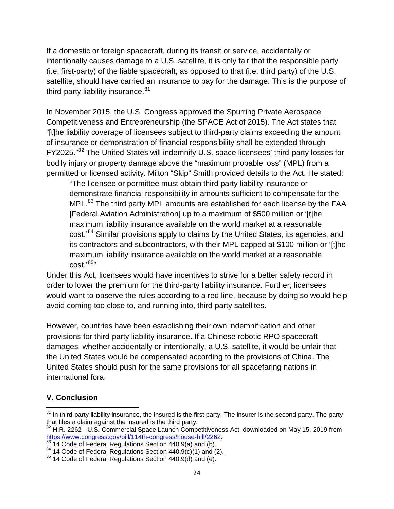If a domestic or foreign spacecraft, during its transit or service, accidentally or intentionally causes damage to a U.S. satellite, it is only fair that the responsible party (i.e. first-party) of the liable spacecraft, as opposed to that (i.e. third party) of the U.S. satellite, should have carried an insurance to pay for the damage. This is the purpose of third-party liability insurance.<sup>[81](#page-23-0)</sup>

In November 2015, the U.S. Congress approved the Spurring Private Aerospace Competitiveness and Entrepreneurship (the SPACE Act of 2015). The Act states that "[t]he liability coverage of licensees subject to third-party claims exceeding the amount of insurance or demonstration of financial responsibility shall be extended through FY2025."[82](#page-23-1) The United States will indemnify U.S. space licensees' third-party losses for bodily injury or property damage above the "maximum probable loss" (MPL) from a permitted or licensed activity. Milton "Skip" Smith provided details to the Act. He stated:

"The licensee or permittee must obtain third party liability insurance or demonstrate financial responsibility in amounts sufficient to compensate for the MPL.<sup>[83](#page-23-2)</sup> The third party MPL amounts are established for each license by the FAA [Federal Aviation Administration] up to a maximum of \$500 million or '[t]he maximum liability insurance available on the world market at a reasonable cost.'<sup>[84](#page-23-3)</sup> Similar provisions apply to claims by the United States, its agencies, and its contractors and subcontractors, with their MPL capped at \$100 million or '[t]he maximum liability insurance available on the world market at a reasonable cost.' [85](#page-23-4)"

Under this Act, licensees would have incentives to strive for a better safety record in order to lower the premium for the third-party liability insurance. Further, licensees would want to observe the rules according to a red line, because by doing so would help avoid coming too close to, and running into, third-party satellites.

However, countries have been establishing their own indemnification and other provisions for third-party liability insurance. If a Chinese robotic RPO spacecraft damages, whether accidentally or intentionally, a U.S. satellite, it would be unfair that the United States would be compensated according to the provisions of China. The United States should push for the same provisions for all spacefaring nations in international fora.

# **V. Conclusion**

<span id="page-23-0"></span> $81$  In third-party liability insurance, the insured is the first party. The insurer is the second party. The party that files a claim against the insured is the third party.

<span id="page-23-1"></span><sup>&</sup>lt;sup>82</sup> H.R. 2262 - U.S. Commercial Space Launch Competitiveness Act, downloaded on May 15, 2019 from https://www.congress.gov/bill/114th-congress/house-bill/2262.<br><sup>83</sup> 14 Code of Federal Regulations Section 440.9(a) and (b).<br><sup>84</sup> 14 Code of Federal Regulations Section 440.9(c)(1) and (2).<br><sup>85</sup> 14 Code of Federal Regulatio

<span id="page-23-2"></span>

<span id="page-23-3"></span>

<span id="page-23-4"></span>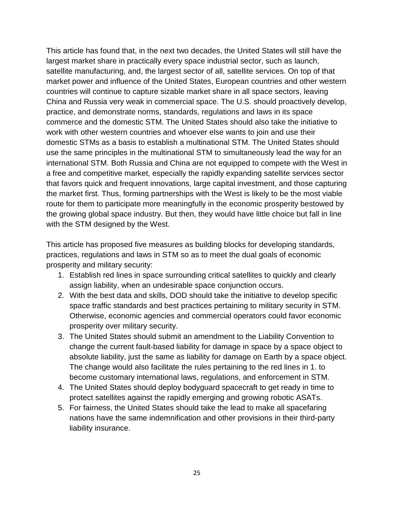This article has found that, in the next two decades, the United States will still have the largest market share in practically every space industrial sector, such as launch, satellite manufacturing, and, the largest sector of all, satellite services. On top of that market power and influence of the United States, European countries and other western countries will continue to capture sizable market share in all space sectors, leaving China and Russia very weak in commercial space. The U.S. should proactively develop, practice, and demonstrate norms, standards, regulations and laws in its space commerce and the domestic STM. The United States should also take the initiative to work with other western countries and whoever else wants to join and use their domestic STMs as a basis to establish a multinational STM. The United States should use the same principles in the multinational STM to simultaneously lead the way for an international STM. Both Russia and China are not equipped to compete with the West in a free and competitive market, especially the rapidly expanding satellite services sector that favors quick and frequent innovations, large capital investment, and those capturing the market first. Thus, forming partnerships with the West is likely to be the most viable route for them to participate more meaningfully in the economic prosperity bestowed by the growing global space industry. But then, they would have little choice but fall in line with the STM designed by the West.

This article has proposed five measures as building blocks for developing standards, practices, regulations and laws in STM so as to meet the dual goals of economic prosperity and military security:

- 1. Establish red lines in space surrounding critical satellites to quickly and clearly assign liability, when an undesirable space conjunction occurs.
- 2. With the best data and skills, DOD should take the initiative to develop specific space traffic standards and best practices pertaining to military security in STM. Otherwise, economic agencies and commercial operators could favor economic prosperity over military security.
- 3. The United States should submit an amendment to the Liability Convention to change the current fault-based liability for damage in space by a space object to absolute liability, just the same as liability for damage on Earth by a space object. The change would also facilitate the rules pertaining to the red lines in 1. to become customary international laws, regulations, and enforcement in STM.
- 4. The United States should deploy bodyguard spacecraft to get ready in time to protect satellites against the rapidly emerging and growing robotic ASATs.
- 5. For fairness, the United States should take the lead to make all spacefaring nations have the same indemnification and other provisions in their third-party liability insurance.